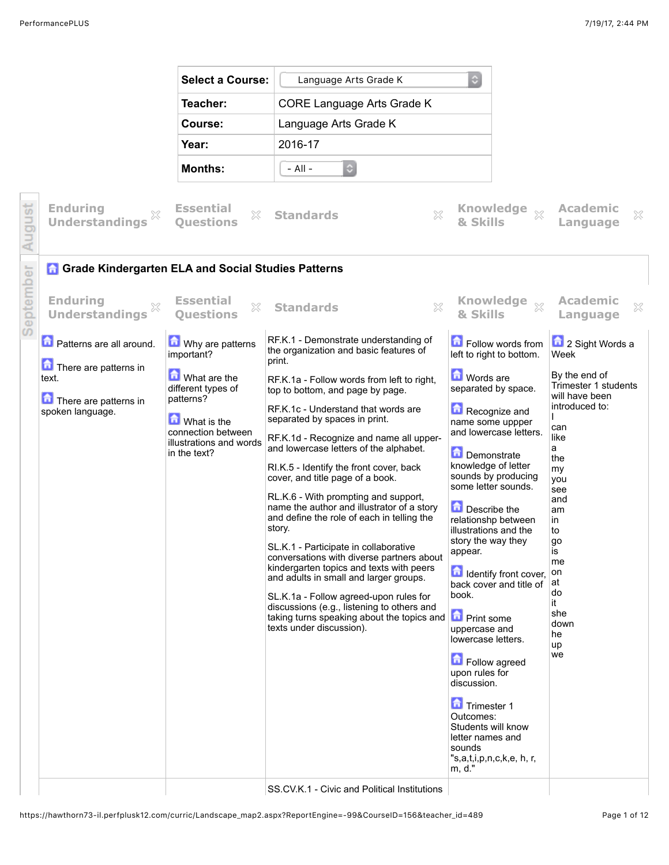

SS.CV.K.1 - Civic and Political Institutions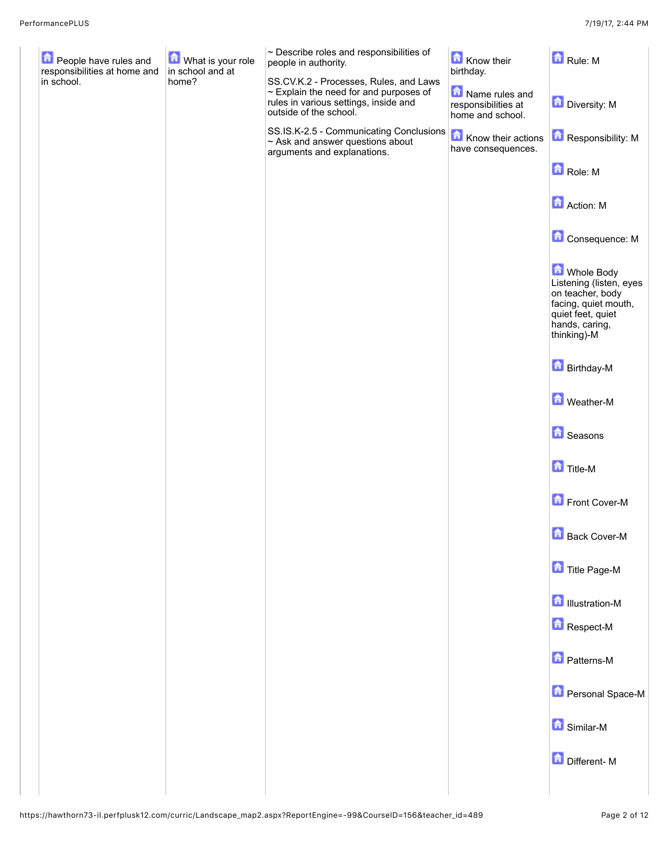| People have rules and<br>responsibilities at home and | <b>M</b> What is your role<br>in school and at | $\sim$ Describe roles and responsibilities of<br>people in authority.                                                                                    | Know their<br>birthday.                                   | Rule: M                                                                                                                                 |
|-------------------------------------------------------|------------------------------------------------|----------------------------------------------------------------------------------------------------------------------------------------------------------|-----------------------------------------------------------|-----------------------------------------------------------------------------------------------------------------------------------------|
| in school.                                            | home?                                          | SS.CV.K.2 - Processes, Rules, and Laws<br>$\sim$ Explain the need for and purposes of<br>rules in various settings, inside and<br>outside of the school. | Name rules and<br>responsibilities at<br>home and school. | Diversity: M                                                                                                                            |
|                                                       |                                                | SS.IS.K-2.5 - Communicating Conclusions <b>To Know their actions</b><br>$\sim$ Ask and answer questions about<br>arguments and explanations.             | have consequences.                                        | Responsibility: M                                                                                                                       |
|                                                       |                                                |                                                                                                                                                          |                                                           | Role: M                                                                                                                                 |
|                                                       |                                                |                                                                                                                                                          |                                                           | <b>A</b> Action: M                                                                                                                      |
|                                                       |                                                |                                                                                                                                                          |                                                           | Consequence: M                                                                                                                          |
|                                                       |                                                |                                                                                                                                                          |                                                           | Mhole Body<br>Listening (listen, eyes<br>on teacher, body<br>facing, quiet mouth,<br>quiet feet, quiet<br>hands, caring,<br>thinking)-M |
|                                                       |                                                |                                                                                                                                                          |                                                           | <b>D</b> Birthday-M                                                                                                                     |
|                                                       |                                                |                                                                                                                                                          |                                                           | <b>M</b> Weather-M                                                                                                                      |
|                                                       |                                                |                                                                                                                                                          |                                                           | <b>G</b> Seasons                                                                                                                        |
|                                                       |                                                |                                                                                                                                                          |                                                           | <b>Title-M</b>                                                                                                                          |
|                                                       |                                                |                                                                                                                                                          |                                                           | Front Cover-M                                                                                                                           |
|                                                       |                                                |                                                                                                                                                          |                                                           | <b>Back Cover-M</b>                                                                                                                     |
|                                                       |                                                |                                                                                                                                                          |                                                           | Title Page-M                                                                                                                            |
|                                                       |                                                |                                                                                                                                                          |                                                           | <b>D</b> Illustration-M                                                                                                                 |
|                                                       |                                                |                                                                                                                                                          |                                                           | Respect-M                                                                                                                               |
|                                                       |                                                |                                                                                                                                                          |                                                           | <b>D</b> Patterns-M                                                                                                                     |
|                                                       |                                                |                                                                                                                                                          |                                                           | <b>Personal Space-M</b>                                                                                                                 |
|                                                       |                                                |                                                                                                                                                          |                                                           | <b>G</b> Similar-M                                                                                                                      |
|                                                       |                                                |                                                                                                                                                          |                                                           | Different-M                                                                                                                             |
|                                                       |                                                |                                                                                                                                                          |                                                           |                                                                                                                                         |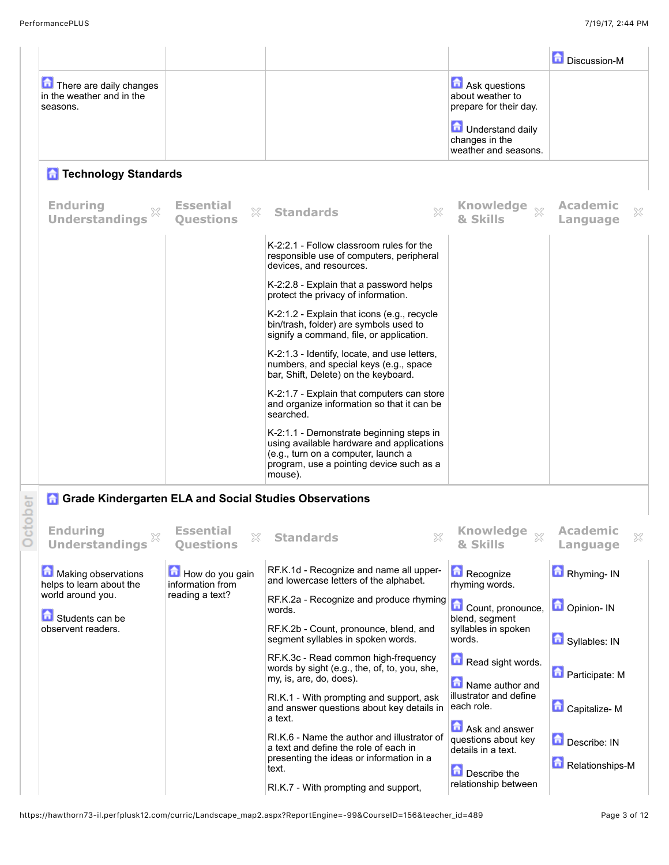C

|                                                                  |                                             |                                                                                                                                                                                     |                                                                     | Discussion-M                     |
|------------------------------------------------------------------|---------------------------------------------|-------------------------------------------------------------------------------------------------------------------------------------------------------------------------------------|---------------------------------------------------------------------|----------------------------------|
| There are daily changes<br>in the weather and in the<br>seasons. |                                             |                                                                                                                                                                                     | Ask questions<br>about weather to<br>prepare for their day.         |                                  |
|                                                                  |                                             |                                                                                                                                                                                     | <b>D</b> Understand daily<br>changes in the<br>weather and seasons. |                                  |
| <b>Technology Standards</b>                                      |                                             |                                                                                                                                                                                     |                                                                     |                                  |
| <b>Enduring</b><br><b>Understandings</b>                         | <b>Essential</b><br>33.<br><b>Ouestions</b> | <b>Standards</b>                                                                                                                                                                    | Knowledge xx<br>& Skills                                            | Academic<br>X<br>Language        |
|                                                                  |                                             | K-2:2.1 - Follow classroom rules for the<br>responsible use of computers, peripheral<br>devices, and resources.                                                                     |                                                                     |                                  |
|                                                                  |                                             | K-2:2.8 - Explain that a password helps<br>protect the privacy of information.                                                                                                      |                                                                     |                                  |
|                                                                  |                                             | $K-2:1.2$ - Explain that icons (e.g., recycle<br>bin/trash, folder) are symbols used to<br>signify a command, file, or application.                                                 |                                                                     |                                  |
|                                                                  |                                             | K-2:1.3 - Identify, locate, and use letters,<br>numbers, and special keys (e.g., space<br>bar, Shift, Delete) on the keyboard.                                                      |                                                                     |                                  |
|                                                                  |                                             | K-2:1.7 - Explain that computers can store<br>and organize information so that it can be<br>searched.                                                                               |                                                                     |                                  |
|                                                                  |                                             | K-2:1.1 - Demonstrate beginning steps in<br>using available hardware and applications<br>(e.g., turn on a computer, launch a<br>program, use a pointing device such as a<br>mouse). |                                                                     |                                  |
| <b>Grade Kindergarten ELA and Social Studies Observations</b>    |                                             |                                                                                                                                                                                     |                                                                     |                                  |
| <b>Enduring</b><br>×<br><b>Understandings</b>                    | <b>Essential</b><br>X<br><b>Ouestions</b>   | ×<br><b>Standards</b>                                                                                                                                                               | Knowledge some<br>83<br>& Skills                                    | <b>Academic</b><br>X<br>Language |
| Making observations<br>helps to learn about the                  | How do you gain<br>information from         | RF.K.1d - Recognize and name all upper-<br>and lowercase letters of the alphabet.                                                                                                   | Recognize<br>rhyming words.                                         | Rhyming- IN                      |
| world around you.<br>Students can be                             | reading a text?                             | RF.K.2a - Recognize and produce rhyming<br>words.                                                                                                                                   | Count, pronounce,<br>blend, segment                                 | Opinion- IN                      |
| observent readers.                                               |                                             | RF.K.2b - Count, pronounce, blend, and<br>segment syllables in spoken words.                                                                                                        | syllables in spoken<br>words.                                       | Syllables: IN                    |
|                                                                  |                                             | RF.K.3c - Read common high-frequency<br>words by sight (e.g., the, of, to, you, she,<br>my, is, are, do, does).                                                                     | Read sight words.<br>Name author and                                | <b>D</b> Participate: M          |
|                                                                  |                                             | RI.K.1 - With prompting and support, ask<br>and answer questions about key details in<br>a text.                                                                                    | illustrator and define<br>each role.                                | Capitalize-M                     |
|                                                                  |                                             | RI.K.6 - Name the author and illustrator of<br>a text and define the role of each in<br>presenting the ideas or information in a<br>text.                                           | Ask and answer<br>questions about key<br>details in a text.         | Describe: IN<br>Relationships-M  |
|                                                                  |                                             | RI.K.7 - With prompting and support,                                                                                                                                                | Describe the<br>relationship between                                |                                  |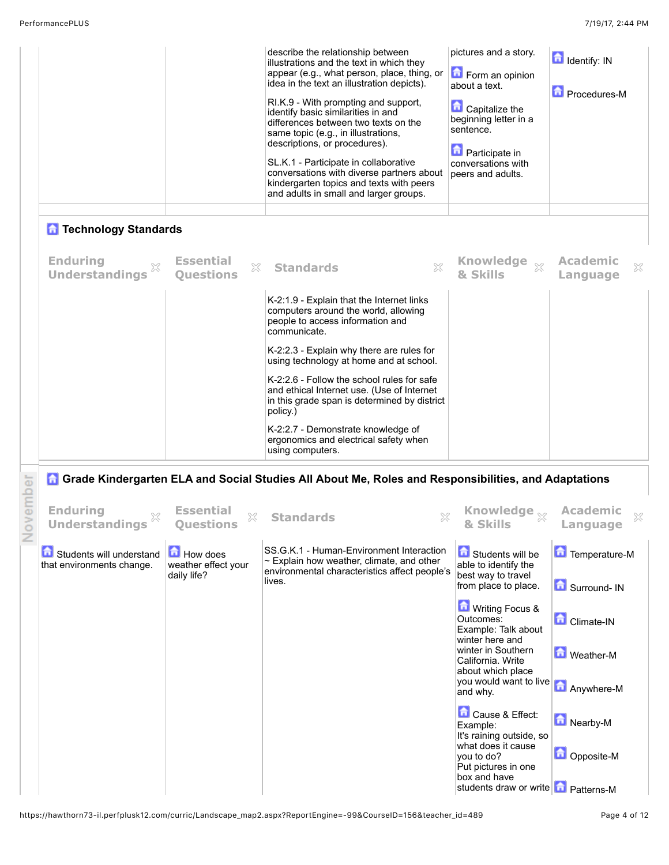|       |                                                       |                                                       | describe the relationship between<br>illustrations and the text in which they<br>appear (e.g., what person, place, thing, or<br>idea in the text an illustration depicts).<br>RI.K.9 - With prompting and support,<br>identify basic similarities in and<br>differences between two texts on the<br>same topic (e.g., in illustrations,<br>descriptions, or procedures).<br>SL.K.1 - Participate in collaborative<br>conversations with diverse partners about<br>kindergarten topics and texts with peers<br>and adults in small and larger groups. | pictures and a story.<br>Form an opinion<br>about a text.<br><b>Capitalize the</b><br>beginning letter in a<br>sentence.<br><b>n</b> Participate in<br>conversations with<br>peers and adults. | <b>d</b> Identify: IN<br>Procedures-M |
|-------|-------------------------------------------------------|-------------------------------------------------------|------------------------------------------------------------------------------------------------------------------------------------------------------------------------------------------------------------------------------------------------------------------------------------------------------------------------------------------------------------------------------------------------------------------------------------------------------------------------------------------------------------------------------------------------------|------------------------------------------------------------------------------------------------------------------------------------------------------------------------------------------------|---------------------------------------|
|       | <b>n</b> Technology Standards                         |                                                       |                                                                                                                                                                                                                                                                                                                                                                                                                                                                                                                                                      |                                                                                                                                                                                                |                                       |
|       | <b>Enduring</b><br><b>Understandings</b>              | <b>Essential</b><br>X<br><b>Questions</b>             | $\chi$<br><b>Standards</b>                                                                                                                                                                                                                                                                                                                                                                                                                                                                                                                           | <b>Knowledge</b><br>$\S 2$<br>& Skills                                                                                                                                                         | <b>Academic</b><br>×<br>Language      |
|       |                                                       |                                                       | K-2:1.9 - Explain that the Internet links<br>computers around the world, allowing<br>people to access information and<br>communicate.                                                                                                                                                                                                                                                                                                                                                                                                                |                                                                                                                                                                                                |                                       |
|       |                                                       |                                                       | K-2:2.3 - Explain why there are rules for<br>using technology at home and at school.                                                                                                                                                                                                                                                                                                                                                                                                                                                                 |                                                                                                                                                                                                |                                       |
|       |                                                       |                                                       | K-2:2.6 - Follow the school rules for safe<br>and ethical Internet use. (Use of Internet<br>in this grade span is determined by district<br>policy.)                                                                                                                                                                                                                                                                                                                                                                                                 |                                                                                                                                                                                                |                                       |
|       |                                                       |                                                       | K-2:2.7 - Demonstrate knowledge of<br>ergonomics and electrical safety when<br>using computers.                                                                                                                                                                                                                                                                                                                                                                                                                                                      |                                                                                                                                                                                                |                                       |
|       |                                                       |                                                       | <b>A</b> Grade Kindergarten ELA and Social Studies All About Me, Roles and Responsibilities, and Adaptations                                                                                                                                                                                                                                                                                                                                                                                                                                         |                                                                                                                                                                                                |                                       |
| ember | <b>Enduring</b><br><b>Understandings</b>              | <b>Essential</b><br>×<br><b>Ouestions</b>             | <b>Standards</b>                                                                                                                                                                                                                                                                                                                                                                                                                                                                                                                                     | Knowledge $_{\%}$<br>& Skills                                                                                                                                                                  | <b>Academic</b><br>×<br>anguage.      |
|       | Students will understand<br>that environments change. | <b>How does</b><br>weather effect your<br>daily life? | SS.G.K.1 - Human-Environment Interaction<br>$\sim$ Explain how weather, climate, and other<br>environmental characteristics affect people's<br>lives.                                                                                                                                                                                                                                                                                                                                                                                                | Students will be<br>able to identify the<br>best way to travel                                                                                                                                 | Temperature-M                         |
|       |                                                       |                                                       |                                                                                                                                                                                                                                                                                                                                                                                                                                                                                                                                                      | from place to place.<br><b>M</b> Writing Focus &<br>Outcomes:<br>Example: Talk about<br>winter here and                                                                                        | Surround-IN<br><b>Climate-IN</b>      |
|       |                                                       |                                                       |                                                                                                                                                                                                                                                                                                                                                                                                                                                                                                                                                      | winter in Southern<br>California. Write<br>about which place<br>you would want to live<br>and why.                                                                                             | <b>M</b> Weather-M<br>Anywhere-M      |
|       |                                                       |                                                       |                                                                                                                                                                                                                                                                                                                                                                                                                                                                                                                                                      | Cause & Effect:<br>Example:<br>It's raining outside, so<br>what does it cause                                                                                                                  | Nearby-M                              |
|       |                                                       |                                                       |                                                                                                                                                                                                                                                                                                                                                                                                                                                                                                                                                      | you to do?<br>Put pictures in one<br>box and have<br>students draw or write <b>T</b> Patterns-M                                                                                                | Opposite-M                            |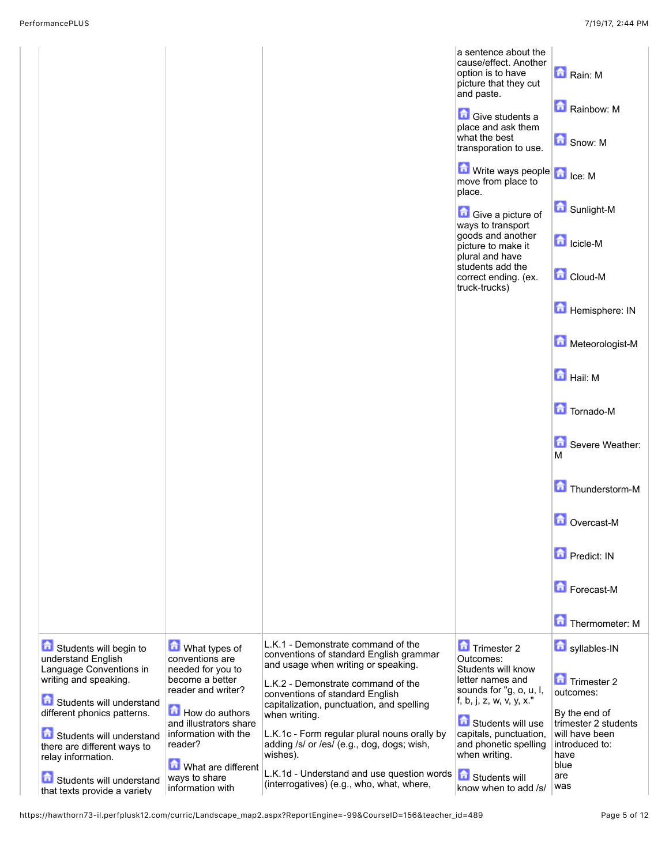|                                                                                                                                                                                                                                                                                                          |                                                                                                                                                                                                                                          |                                                                                                                                                                                                                                                                                                                                                                                                                                                                  | a sentence about the<br>cause/effect. Another<br>option is to have<br>picture that they cut<br>and paste.<br><b>Give students a</b><br>place and ask them<br>what the best<br>transporation to use.<br>$\left  \bigcap_{i=1}^n$ Write ways people $\left  \bigcap_{i=1}^n \right _{\text{C} \in \mathbb{N}}$<br>move from place to<br>place.<br><b>Give a picture of</b><br>ways to transport<br>goods and another<br>picture to make it<br>plural and have<br>students add the<br>correct ending. (ex.<br>truck-trucks) | Rain: M<br>Rainbow: M<br>Snow: M<br><b>G</b> Sunlight-M<br><b>n</b> Icicle-M<br>Cloud-M<br>Hemisphere: IN<br>Meteorologist-M<br><b>Hail:</b> M<br>Tornado-M<br>Severe Weather:<br>м<br>Thunderstorm-M<br>Overcast-M<br><b>D</b> Predict: IN<br>Forecast-M<br>Thermometer: M |
|----------------------------------------------------------------------------------------------------------------------------------------------------------------------------------------------------------------------------------------------------------------------------------------------------------|------------------------------------------------------------------------------------------------------------------------------------------------------------------------------------------------------------------------------------------|------------------------------------------------------------------------------------------------------------------------------------------------------------------------------------------------------------------------------------------------------------------------------------------------------------------------------------------------------------------------------------------------------------------------------------------------------------------|--------------------------------------------------------------------------------------------------------------------------------------------------------------------------------------------------------------------------------------------------------------------------------------------------------------------------------------------------------------------------------------------------------------------------------------------------------------------------------------------------------------------------|-----------------------------------------------------------------------------------------------------------------------------------------------------------------------------------------------------------------------------------------------------------------------------|
| Students will begin to<br>understand English<br>Language Conventions in<br>writing and speaking.<br>Students will understand<br>different phonics patterns.<br>Students will understand<br>there are different ways to<br>relay information.<br>Students will understand<br>that texts provide a variety | What types of<br>conventions are<br>needed for you to<br>become a better<br>reader and writer?<br>How do authors<br>and illustrators share<br>information with the<br>reader?<br>What are different<br>ways to share<br>information with | L.K.1 - Demonstrate command of the<br>conventions of standard English grammar<br>and usage when writing or speaking.<br>L.K.2 - Demonstrate command of the<br>conventions of standard English<br>capitalization, punctuation, and spelling<br>when writing.<br>L.K.1c - Form regular plural nouns orally by<br>adding /s/ or /es/ (e.g., dog, dogs; wish,<br>wishes).<br>L.K.1d - Understand and use question words<br>(interrogatives) (e.g., who, what, where, | Trimester 2<br>Outcomes:<br>Students will know<br>letter names and<br>sounds for "g, o, u, l,<br>f, b, j, z, w, v, y, x."<br>Students will use<br>capitals, punctuation,<br>and phonetic spelling<br>when writing.<br>Students will<br>know when to add /s/                                                                                                                                                                                                                                                              | syllables-IN<br>Trimester 2<br>outcomes:<br>By the end of<br>trimester 2 students<br>will have been<br>introduced to:<br>have<br>blue<br>are<br>was                                                                                                                         |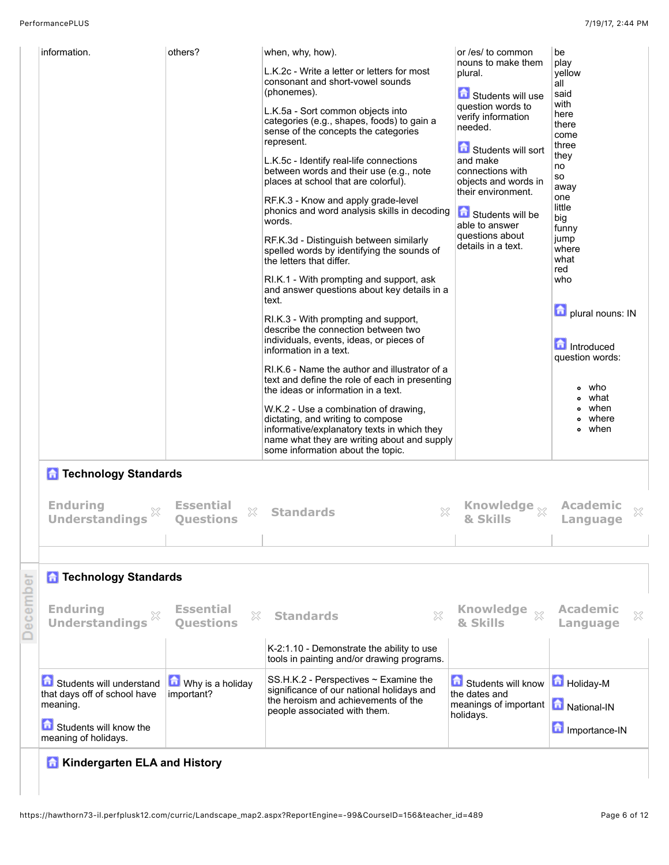|          | information.                                                         | others?                                   | when, why, how).<br>L.K.2c - Write a letter or letters for most<br>consonant and short-vowel sounds<br>(phonemes).<br>L.K.5a - Sort common objects into<br>categories (e.g., shapes, foods) to gain a<br>sense of the concepts the categories<br>represent.<br>L.K.5c - Identify real-life connections<br>between words and their use (e.g., note<br>places at school that are colorful).<br>RF.K.3 - Know and apply grade-level<br>phonics and word analysis skills in decoding<br>words.<br>RF.K.3d - Distinguish between similarly<br>spelled words by identifying the sounds of<br>the letters that differ.<br>RI.K.1 - With prompting and support, ask<br>and answer questions about key details in a<br>text.<br>RI.K.3 - With prompting and support,<br>describe the connection between two<br>individuals, events, ideas, or pieces of<br>information in a text.<br>RI.K.6 - Name the author and illustrator of a<br>text and define the role of each in presenting<br>the ideas or information in a text.<br>W.K.2 - Use a combination of drawing,<br>dictating, and writing to compose<br>informative/explanatory texts in which they<br>name what they are writing about and supply | or /es/ to common<br>nouns to make them<br>plural.<br>Students will use<br>question words to<br>verify information<br>needed.<br>Students will sort<br>and make<br>connections with<br>objects and words in<br>their environment.<br>Students will be<br>able to answer<br>questions about<br>details in a text. | be<br>play<br>yellow<br>all<br>said<br>with<br>here<br>there<br>come<br>three<br>they<br>no<br>so<br>away<br>one<br>little<br>big<br>funny<br>jump<br>where<br>what<br>red<br>who<br>plural nouns: IN<br>Introduced<br>question words:<br>who<br>what<br>when<br>where<br>• when |
|----------|----------------------------------------------------------------------|-------------------------------------------|------------------------------------------------------------------------------------------------------------------------------------------------------------------------------------------------------------------------------------------------------------------------------------------------------------------------------------------------------------------------------------------------------------------------------------------------------------------------------------------------------------------------------------------------------------------------------------------------------------------------------------------------------------------------------------------------------------------------------------------------------------------------------------------------------------------------------------------------------------------------------------------------------------------------------------------------------------------------------------------------------------------------------------------------------------------------------------------------------------------------------------------------------------------------------------------------|------------------------------------------------------------------------------------------------------------------------------------------------------------------------------------------------------------------------------------------------------------------------------------------------------------------|----------------------------------------------------------------------------------------------------------------------------------------------------------------------------------------------------------------------------------------------------------------------------------|
|          | <b>n</b> Technology Standards                                        |                                           | some information about the topic.                                                                                                                                                                                                                                                                                                                                                                                                                                                                                                                                                                                                                                                                                                                                                                                                                                                                                                                                                                                                                                                                                                                                                              |                                                                                                                                                                                                                                                                                                                  |                                                                                                                                                                                                                                                                                  |
|          | <b>Enduring</b><br><b>Understandings</b>                             | <b>Essential</b><br>X<br><b>Questions</b> | <b>Standards</b><br>X                                                                                                                                                                                                                                                                                                                                                                                                                                                                                                                                                                                                                                                                                                                                                                                                                                                                                                                                                                                                                                                                                                                                                                          | Knowledge <sub>X</sub><br>& Skills                                                                                                                                                                                                                                                                               | <b>Academic</b><br>X<br>Language                                                                                                                                                                                                                                                 |
|          |                                                                      |                                           |                                                                                                                                                                                                                                                                                                                                                                                                                                                                                                                                                                                                                                                                                                                                                                                                                                                                                                                                                                                                                                                                                                                                                                                                |                                                                                                                                                                                                                                                                                                                  |                                                                                                                                                                                                                                                                                  |
|          | <b>n</b> Technology Standards                                        |                                           |                                                                                                                                                                                                                                                                                                                                                                                                                                                                                                                                                                                                                                                                                                                                                                                                                                                                                                                                                                                                                                                                                                                                                                                                |                                                                                                                                                                                                                                                                                                                  |                                                                                                                                                                                                                                                                                  |
| December | <b>Enduring</b><br><b>Understandings</b>                             | <b>Essential</b><br>X<br><b>Ouestions</b> | X<br><b>Standards</b>                                                                                                                                                                                                                                                                                                                                                                                                                                                                                                                                                                                                                                                                                                                                                                                                                                                                                                                                                                                                                                                                                                                                                                          | <b>Knowledge</b><br>$\S 2$<br>& Skills                                                                                                                                                                                                                                                                           | <b>Academic</b><br>X<br>Language                                                                                                                                                                                                                                                 |
|          |                                                                      |                                           | K-2:1.10 - Demonstrate the ability to use<br>tools in painting and/or drawing programs.                                                                                                                                                                                                                                                                                                                                                                                                                                                                                                                                                                                                                                                                                                                                                                                                                                                                                                                                                                                                                                                                                                        |                                                                                                                                                                                                                                                                                                                  |                                                                                                                                                                                                                                                                                  |
|          | Students will understand<br>that days off of school have<br>meaning. | Why is a holiday<br>important?            | SS.H.K.2 - Perspectives $\sim$ Examine the<br>significance of our national holidays and<br>the heroism and achievements of the<br>people associated with them.                                                                                                                                                                                                                                                                                                                                                                                                                                                                                                                                                                                                                                                                                                                                                                                                                                                                                                                                                                                                                                 | Students will know <b>in</b> Holiday-M<br>the dates and<br>meanings of important   national-IN<br>holidays.                                                                                                                                                                                                      |                                                                                                                                                                                                                                                                                  |
|          | Students will know the<br>meaning of holidays.                       |                                           |                                                                                                                                                                                                                                                                                                                                                                                                                                                                                                                                                                                                                                                                                                                                                                                                                                                                                                                                                                                                                                                                                                                                                                                                |                                                                                                                                                                                                                                                                                                                  | Importance-IN                                                                                                                                                                                                                                                                    |
|          | <b>A</b> Kindergarten ELA and History                                |                                           |                                                                                                                                                                                                                                                                                                                                                                                                                                                                                                                                                                                                                                                                                                                                                                                                                                                                                                                                                                                                                                                                                                                                                                                                |                                                                                                                                                                                                                                                                                                                  |                                                                                                                                                                                                                                                                                  |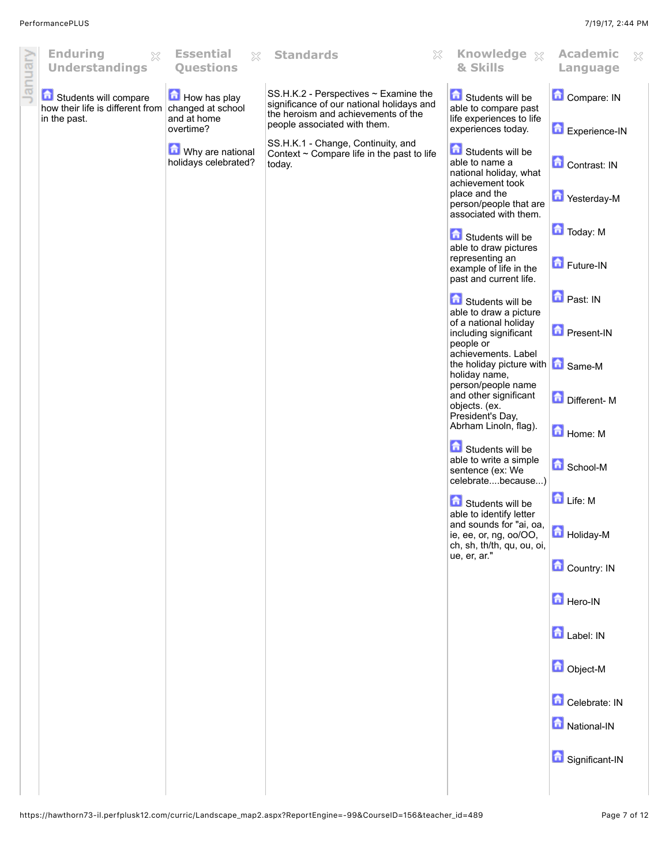| January | <b>Enduring</b><br>X<br><b>Understandings</b>                                               | <b>Essential</b><br>$\mathbb{X}$<br><b>Questions</b> | <b>Standards</b><br>X                                                                                                     | Knowledge $\chi$<br>& Skills                                                                 | <b>Academic</b><br>Š.<br>Language |
|---------|---------------------------------------------------------------------------------------------|------------------------------------------------------|---------------------------------------------------------------------------------------------------------------------------|----------------------------------------------------------------------------------------------|-----------------------------------|
|         | Students will compare<br>how their life is different from changed at school<br>in the past. | <b>How has play</b><br>and at home                   | SS.H.K.2 - Perspectives ~ Examine the<br>significance of our national holidays and<br>the heroism and achievements of the | Students will be<br>able to compare past<br>life experiences to life                         | Compare: IN                       |
|         |                                                                                             | overtime?                                            | people associated with them.                                                                                              | experiences today.                                                                           | Experience-IN                     |
|         |                                                                                             | Why are national<br>holidays celebrated?             | SS.H.K.1 - Change, Continuity, and<br>Context ~ Compare life in the past to life<br>today.                                | Students will be<br>able to name a<br>national holiday, what                                 | Contrast: IN                      |
|         |                                                                                             |                                                      |                                                                                                                           | achievement took<br>place and the<br>person/people that are<br>associated with them.         | Yesterday-M                       |
|         |                                                                                             |                                                      |                                                                                                                           | <b>Contact Students will be</b>                                                              | Today: M                          |
|         |                                                                                             |                                                      |                                                                                                                           | able to draw pictures<br>representing an<br>example of life in the<br>past and current life. | Future-IN                         |
|         |                                                                                             |                                                      |                                                                                                                           | Students will be<br>able to draw a picture                                                   | Past: IN                          |
|         |                                                                                             |                                                      |                                                                                                                           | of a national holiday<br>including significant<br>people or<br>achievements. Label           | <b>D</b> Present-IN               |
|         |                                                                                             |                                                      |                                                                                                                           | the holiday picture with <b>6</b> Same-M<br>holiday name,<br>person/people name              |                                   |
|         |                                                                                             |                                                      |                                                                                                                           | and other significant<br>objects. (ex.<br>President's Day,                                   | Different-M                       |
|         |                                                                                             |                                                      |                                                                                                                           | Abrham Linoln, flag).                                                                        | Home: M                           |
|         |                                                                                             |                                                      |                                                                                                                           | Students will be<br>able to write a simple<br>sentence (ex: We<br>celebratebecause)          | <b>C</b> School-M                 |
|         |                                                                                             |                                                      |                                                                                                                           | Students will be<br>able to identify letter                                                  | Life: M                           |
|         |                                                                                             |                                                      |                                                                                                                           | and sounds for "ai, oa,<br>ie, ee, or, ng, oo/OO,<br>ch, sh, th/th, qu, ou, oi,              | Holiday-M                         |
|         |                                                                                             |                                                      |                                                                                                                           | ue, er, ar."                                                                                 | Country: IN                       |
|         |                                                                                             |                                                      |                                                                                                                           |                                                                                              | Hero-IN                           |
|         |                                                                                             |                                                      |                                                                                                                           |                                                                                              | Label: IN                         |
|         |                                                                                             |                                                      |                                                                                                                           |                                                                                              | Object-M                          |
|         |                                                                                             |                                                      |                                                                                                                           |                                                                                              | Celebrate: IN                     |
|         |                                                                                             |                                                      |                                                                                                                           |                                                                                              | National-IN                       |
|         |                                                                                             |                                                      |                                                                                                                           |                                                                                              | Significant-IN                    |
|         |                                                                                             |                                                      |                                                                                                                           |                                                                                              |                                   |
|         |                                                                                             |                                                      |                                                                                                                           |                                                                                              |                                   |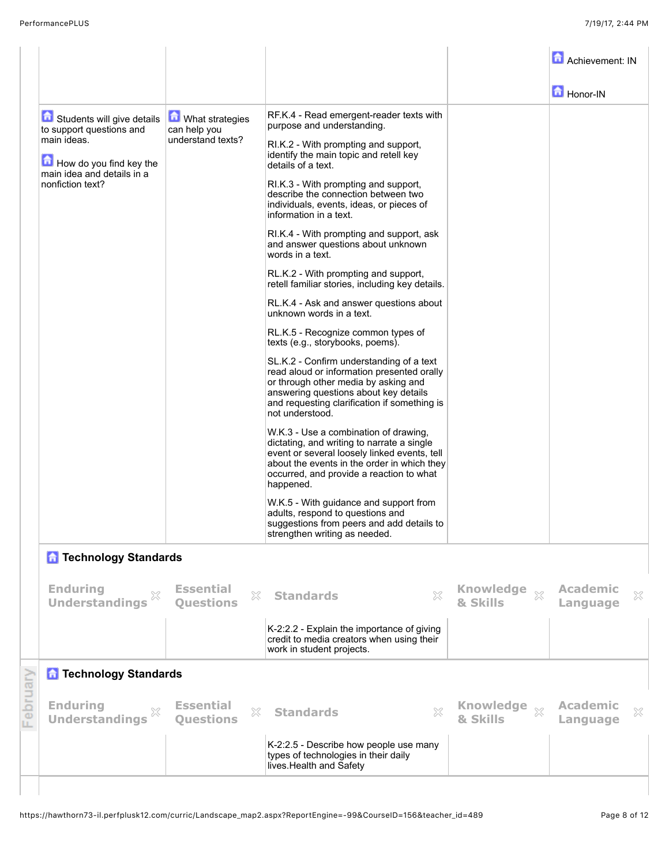|          |                                                                                                                                                    |                                                               |                                                                                                                                                                                                                                             |                                                | Achievement: IN                  |
|----------|----------------------------------------------------------------------------------------------------------------------------------------------------|---------------------------------------------------------------|---------------------------------------------------------------------------------------------------------------------------------------------------------------------------------------------------------------------------------------------|------------------------------------------------|----------------------------------|
|          |                                                                                                                                                    |                                                               |                                                                                                                                                                                                                                             |                                                | Honor-IN                         |
|          | Students will give details<br>to support questions and<br>main ideas.<br>How do you find key the<br>main idea and details in a<br>nonfiction text? | <b>M</b> What strategies<br>can help you<br>understand texts? | RF.K.4 - Read emergent-reader texts with<br>purpose and understanding.<br>RI.K.2 - With prompting and support,<br>identify the main topic and retell key<br>details of a text.<br>RI.K.3 - With prompting and support,                      |                                                |                                  |
|          |                                                                                                                                                    |                                                               | describe the connection between two<br>individuals, events, ideas, or pieces of<br>information in a text.<br>RI.K.4 - With prompting and support, ask                                                                                       |                                                |                                  |
|          |                                                                                                                                                    |                                                               | and answer questions about unknown<br>words in a text.<br>RL.K.2 - With prompting and support,<br>retell familiar stories, including key details.                                                                                           |                                                |                                  |
|          |                                                                                                                                                    |                                                               | RL.K.4 - Ask and answer questions about<br>unknown words in a text.                                                                                                                                                                         |                                                |                                  |
|          |                                                                                                                                                    |                                                               | RL.K.5 - Recognize common types of<br>texts (e.g., storybooks, poems).                                                                                                                                                                      |                                                |                                  |
|          |                                                                                                                                                    |                                                               | SL.K.2 - Confirm understanding of a text<br>read aloud or information presented orally<br>or through other media by asking and<br>answering questions about key details<br>and requesting clarification if something is<br>not understood.  |                                                |                                  |
|          |                                                                                                                                                    |                                                               | W.K.3 - Use a combination of drawing,<br>dictating, and writing to narrate a single<br>event or several loosely linked events, tell<br>about the events in the order in which they<br>occurred, and provide a reaction to what<br>happened. |                                                |                                  |
|          |                                                                                                                                                    |                                                               | W.K.5 - With guidance and support from<br>adults, respond to questions and<br>suggestions from peers and add details to<br>strengthen writing as needed.                                                                                    |                                                |                                  |
|          | <b>n</b> Technology Standards                                                                                                                      |                                                               |                                                                                                                                                                                                                                             |                                                |                                  |
|          | <b>Enduring</b><br><b>Understandings</b>                                                                                                           | <b>Essential</b><br>X<br><b>Questions</b>                     | X<br><b>Standards</b>                                                                                                                                                                                                                       | <b>Knowledge</b><br>$\mathbb{S}^2$<br>& Skills | <b>Academic</b><br>X<br>Language |
|          |                                                                                                                                                    |                                                               | K-2:2.2 - Explain the importance of giving<br>credit to media creators when using their<br>work in student projects.                                                                                                                        |                                                |                                  |
|          | <b>n</b> Technology Standards                                                                                                                      |                                                               |                                                                                                                                                                                                                                             |                                                |                                  |
| February | <b>Enduring</b><br>×<br><b>Understandings</b>                                                                                                      | <b>Essential</b><br>X<br><b>Questions</b>                     | $\mathbb{S}^2$<br><b>Standards</b>                                                                                                                                                                                                          | Knowledge xx<br>& Skills                       | <b>Academic</b><br>X<br>Language |
|          |                                                                                                                                                    |                                                               | K-2:2.5 - Describe how people use many<br>types of technologies in their daily<br>lives. Health and Safety                                                                                                                                  |                                                |                                  |
|          |                                                                                                                                                    |                                                               |                                                                                                                                                                                                                                             |                                                |                                  |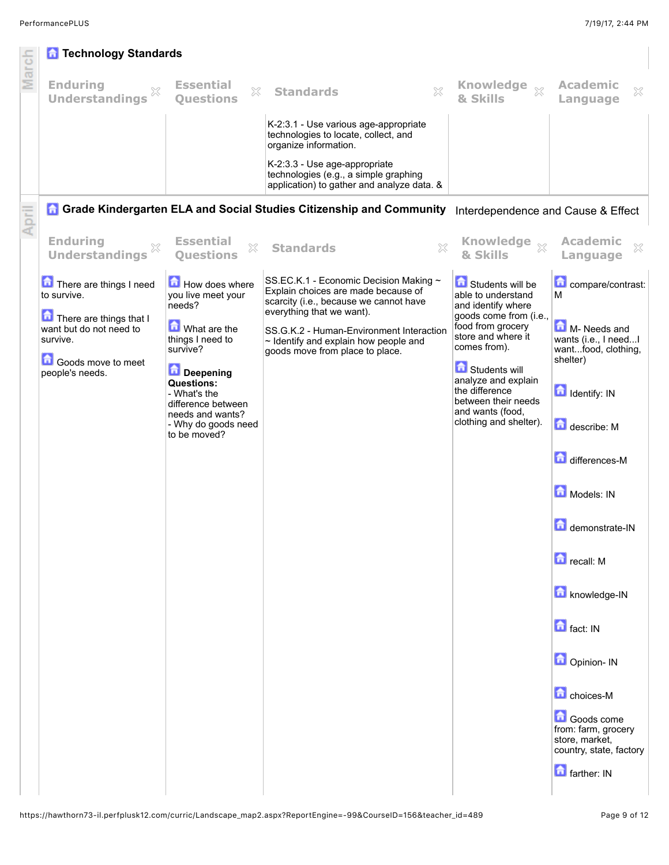| March | <b>n</b> Technology Standards                                  |                                                                               |                                                                                                                                                        |                                                                                               |                                                                                |
|-------|----------------------------------------------------------------|-------------------------------------------------------------------------------|--------------------------------------------------------------------------------------------------------------------------------------------------------|-----------------------------------------------------------------------------------------------|--------------------------------------------------------------------------------|
|       | <b>Enduring</b><br><b>Understandings</b>                       | <b>Essential</b><br>X<br><b>Ouestions</b>                                     | X<br><b>Standards</b>                                                                                                                                  | <b>Knowledge</b><br>$\S 2$<br>& Skills                                                        | <b>Academic</b><br>X<br>Language                                               |
|       |                                                                |                                                                               | K-2:3.1 - Use various age-appropriate<br>technologies to locate, collect, and<br>organize information.                                                 |                                                                                               |                                                                                |
|       |                                                                |                                                                               | K-2:3.3 - Use age-appropriate<br>technologies (e.g., a simple graphing<br>application) to gather and analyze data. &                                   |                                                                                               |                                                                                |
| April |                                                                |                                                                               | <b>A Grade Kindergarten ELA and Social Studies Citizenship and Community</b>                                                                           | Interdependence and Cause & Effect                                                            |                                                                                |
|       | <b>Enduring</b><br><b>Understandings</b>                       | <b>Essential</b><br>X<br><b>Ouestions</b>                                     | <b>Standards</b><br>X                                                                                                                                  | & Skills                                                                                      | <b>Academic</b><br>X<br>Language                                               |
|       | There are things I need<br>to survive.                         | How does where<br>you live meet your<br>needs?                                | SS.EC.K.1 - Economic Decision Making ~<br>Explain choices are made because of<br>scarcity (i.e., because we cannot have                                | Students will be<br>able to understand<br>and identify where                                  | compare/contrast:<br>М                                                         |
|       | There are things that I<br>want but do not need to<br>survive. | What are the<br>things I need to<br>survive?                                  | everything that we want).<br>SS.G.K.2 - Human-Environment Interaction<br>$\sim$ Identify and explain how people and<br>goods move from place to place. | goods come from (i.e.,<br>food from grocery<br>store and where it<br>comes from).             | M-Needs and<br>wants (i.e., I needI<br>wantfood, clothing,                     |
|       | Goods move to meet<br>people's needs.                          | Deepening<br>Questions:<br>- What's the                                       |                                                                                                                                                        | <b>Contract Students will</b><br>analyze and explain<br>the difference<br>between their needs | shelter)<br><b>d</b> Identify: IN                                              |
|       |                                                                | difference between<br>needs and wants?<br>- Why do goods need<br>to be moved? |                                                                                                                                                        | and wants (food,<br>clothing and shelter).                                                    | describe: M                                                                    |
|       |                                                                |                                                                               |                                                                                                                                                        |                                                                                               | differences-M                                                                  |
|       |                                                                |                                                                               |                                                                                                                                                        |                                                                                               | Models: IN                                                                     |
|       |                                                                |                                                                               |                                                                                                                                                        |                                                                                               | demonstrate-IN                                                                 |
|       |                                                                |                                                                               |                                                                                                                                                        |                                                                                               | <b>D</b> recall: M                                                             |
|       |                                                                |                                                                               |                                                                                                                                                        |                                                                                               | knowledge-IN                                                                   |
|       |                                                                |                                                                               |                                                                                                                                                        |                                                                                               | <b>n</b> fact: IN                                                              |
|       |                                                                |                                                                               |                                                                                                                                                        |                                                                                               | Opinion- IN                                                                    |
|       |                                                                |                                                                               |                                                                                                                                                        |                                                                                               | <b>C</b> choices-M                                                             |
|       |                                                                |                                                                               |                                                                                                                                                        |                                                                                               | Goods come<br>from: farm, grocery<br>store, market,<br>country, state, factory |
|       |                                                                |                                                                               |                                                                                                                                                        |                                                                                               | <b>n</b> farther: IN                                                           |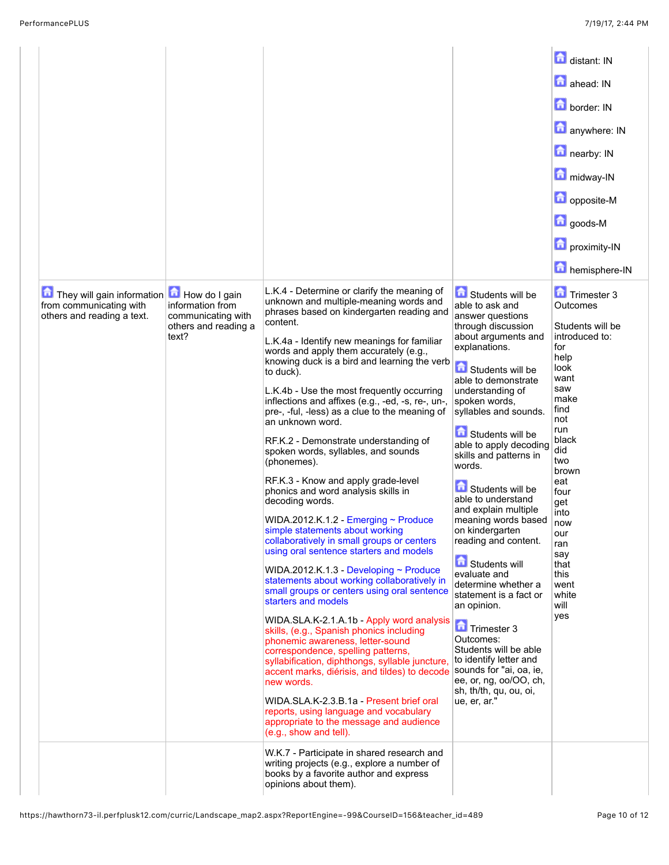|                                                                                     |                                                                                          |                                                                                                                                                                                                                                                                                                                                                                                                                                                                                                                                                                                                                                                                                                                                                                                                                                                                                                                                                                                                                                                                                                                                                                                                                                                                                                                                                                                                                                                                                          |                                                                                                                                                                                                                                                                                                                                                                                                                                                                                                                                                                                                                                                                                                                              | distant: IN<br>ahead: IN<br>border: IN<br>anywhere: IN<br>nearby: IN<br>midway-IN<br>opposite-M<br><b>D</b> goods-M<br>proximity-IN<br>hemisphere-IN                                                                                                                        |
|-------------------------------------------------------------------------------------|------------------------------------------------------------------------------------------|------------------------------------------------------------------------------------------------------------------------------------------------------------------------------------------------------------------------------------------------------------------------------------------------------------------------------------------------------------------------------------------------------------------------------------------------------------------------------------------------------------------------------------------------------------------------------------------------------------------------------------------------------------------------------------------------------------------------------------------------------------------------------------------------------------------------------------------------------------------------------------------------------------------------------------------------------------------------------------------------------------------------------------------------------------------------------------------------------------------------------------------------------------------------------------------------------------------------------------------------------------------------------------------------------------------------------------------------------------------------------------------------------------------------------------------------------------------------------------------|------------------------------------------------------------------------------------------------------------------------------------------------------------------------------------------------------------------------------------------------------------------------------------------------------------------------------------------------------------------------------------------------------------------------------------------------------------------------------------------------------------------------------------------------------------------------------------------------------------------------------------------------------------------------------------------------------------------------------|-----------------------------------------------------------------------------------------------------------------------------------------------------------------------------------------------------------------------------------------------------------------------------|
| They will gain information<br>from communicating with<br>others and reading a text. | How do I gain<br>information from<br>communicating with<br>others and reading a<br>text? | L.K.4 - Determine or clarify the meaning of<br>unknown and multiple-meaning words and<br>phrases based on kindergarten reading and<br>content.<br>L.K.4a - Identify new meanings for familiar<br>words and apply them accurately (e.g.,<br>knowing duck is a bird and learning the verb<br>to duck).<br>L.K.4b - Use the most frequently occurring<br>inflections and affixes (e.g., -ed, -s, re-, un-,<br>pre-, -ful, -less) as a clue to the meaning of<br>an unknown word.<br>RF.K.2 - Demonstrate understanding of<br>spoken words, syllables, and sounds<br>(phonemes).<br>RF.K.3 - Know and apply grade-level<br>phonics and word analysis skills in<br>decoding words.<br>WIDA.2012.K.1.2 - Emerging ~ Produce<br>simple statements about working<br>collaboratively in small groups or centers<br>using oral sentence starters and models<br>WIDA.2012.K.1.3 - Developing ~ Produce<br>statements about working collaboratively in<br>small groups or centers using oral sentence<br>starters and models<br>WIDA.SLA.K-2.1.A.1b - Apply word analysis<br>skills, (e.g., Spanish phonics including<br>phonemic awareness, letter-sound<br>correspondence, spelling patterns,<br>syllabification, diphthongs, syllable juncture,<br>accent marks, diérisis, and tildes) to decode Sounds for "ai, oa, ie,<br>new words.<br>WIDA.SLA.K-2.3.B.1a - Present brief oral<br>reports, using language and vocabulary<br>appropriate to the message and audience<br>(e.g., show and tell). | Students will be<br>able to ask and<br>answer questions<br>through discussion<br>about arguments and<br>explanations.<br><b>fol</b> Students will be<br>able to demonstrate<br>understanding of<br>spoken words,<br>syllables and sounds.<br>Students will be<br>able to apply decoding<br>skills and patterns in<br>words.<br>Students will be<br>able to understand<br>and explain multiple<br>meaning words based<br>on kindergarten<br>reading and content.<br><b>G</b> Students will<br>evaluate and<br>determine whether a<br>statement is a fact or<br>an opinion.<br>Trimester 3<br>Outcomes:<br>Students will be able<br>to identify letter and<br>ee, or, ng, oo/OO, ch,<br>sh, th/th, qu, ou, oi,<br>ue, er, ar." | Trimester 3<br>Outcomes<br>Students will be<br>introduced to:<br>for<br>help<br>look<br>want<br>saw<br>make<br>find<br>not<br>run<br>black<br>did<br>two<br>brown<br>eat<br>four<br>get<br>into<br>now<br>our<br>ran<br>say<br>that<br>this<br>went<br>white<br>will<br>yes |
|                                                                                     |                                                                                          | W.K.7 - Participate in shared research and<br>writing projects (e.g., explore a number of<br>books by a favorite author and express<br>opinions about them).                                                                                                                                                                                                                                                                                                                                                                                                                                                                                                                                                                                                                                                                                                                                                                                                                                                                                                                                                                                                                                                                                                                                                                                                                                                                                                                             |                                                                                                                                                                                                                                                                                                                                                                                                                                                                                                                                                                                                                                                                                                                              |                                                                                                                                                                                                                                                                             |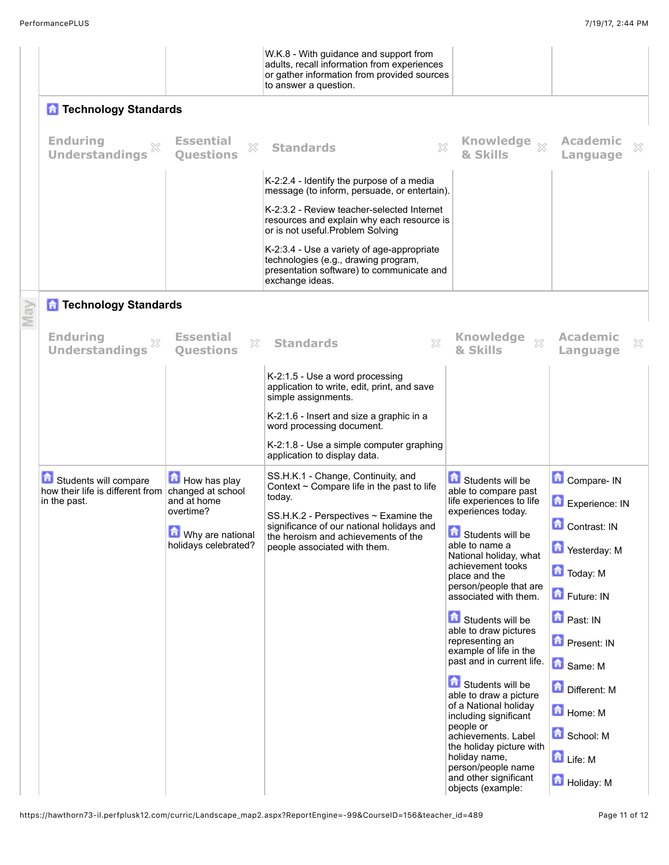|                                                                                             |                                           | W.K.8 - With guidance and support from<br>adults, recall information from experiences<br>or gather information from provided sources<br>to answer a question. |                                                                                            |                                  |
|---------------------------------------------------------------------------------------------|-------------------------------------------|---------------------------------------------------------------------------------------------------------------------------------------------------------------|--------------------------------------------------------------------------------------------|----------------------------------|
| <b>n</b> Technology Standards                                                               |                                           |                                                                                                                                                               |                                                                                            |                                  |
| <b>Enduring</b><br><b>Understandings</b>                                                    | <b>Essential</b><br>X<br><b>Ouestions</b> | $\chi$<br><b>Standards</b>                                                                                                                                    | Knowledge xx<br>& Skills                                                                   | <b>Academic</b><br>X<br>Language |
|                                                                                             |                                           | K-2:2.4 - Identify the purpose of a media<br>message (to inform, persuade, or entertain).                                                                     |                                                                                            |                                  |
|                                                                                             |                                           | K-2:3.2 - Review teacher-selected Internet<br>resources and explain why each resource is<br>or is not useful. Problem Solving                                 |                                                                                            |                                  |
|                                                                                             |                                           | K-2:3.4 - Use a variety of age-appropriate<br>technologies (e.g., drawing program,<br>presentation software) to communicate and<br>exchange ideas.            |                                                                                            |                                  |
| <b>n</b> Technology Standards                                                               |                                           |                                                                                                                                                               |                                                                                            |                                  |
| <b>Enduring</b><br><b>Understandings</b>                                                    | <b>Essential</b><br>X<br><b>Questions</b> | X<br><b>Standards</b>                                                                                                                                         | <b>Knowledge</b><br>& Skills                                                               | Academic<br>X<br>Language        |
|                                                                                             |                                           | K-2:1.5 - Use a word processing<br>application to write, edit, print, and save<br>simple assignments.                                                         |                                                                                            |                                  |
|                                                                                             |                                           | K-2:1.6 - Insert and size a graphic in a<br>word processing document.                                                                                         |                                                                                            |                                  |
|                                                                                             |                                           | K-2:1.8 - Use a simple computer graphing<br>application to display data.                                                                                      |                                                                                            |                                  |
| Students will compare<br>how their life is different from changed at school<br>in the past. | How has play<br>and at home<br>overtime?  | SS.H.K.1 - Change, Continuity, and<br>Context $\sim$ Compare life in the past to life<br>today.<br>$SS.H.K.2$ - Perspectives $\sim$ Examine the               | Students will be<br>able to compare past<br>life experiences to life<br>experiences today. | Compare- IN<br>Experience: IN    |
|                                                                                             | Why are national<br>holidays celebrated?  | significance of our national holidays and<br>the heroism and achievements of the<br>people associated with them.                                              | m<br><b>Ed</b> Students will be<br>able to name a                                          | Contrast: IN<br>Yesterday: M     |
|                                                                                             |                                           |                                                                                                                                                               | National holiday, what<br>achievement tooks<br>place and the                               | Today: M                         |
|                                                                                             |                                           |                                                                                                                                                               | person/people that are<br>associated with them.                                            | Future: IN                       |
|                                                                                             |                                           |                                                                                                                                                               | Students will be<br>able to draw pictures                                                  | <b>D</b> Past: IN                |
|                                                                                             |                                           |                                                                                                                                                               | representing an<br>example of life in the<br>past and in current life.                     | <b>D</b> Present: IN<br>Same: M  |
|                                                                                             |                                           |                                                                                                                                                               | Students will be<br>able to draw a picture<br>of a National holiday                        | 鱼<br>Different: M                |
|                                                                                             |                                           |                                                                                                                                                               | including significant<br>people or<br>achievements. Label                                  | Home: M<br>School: M             |
|                                                                                             |                                           |                                                                                                                                                               | the holiday picture with<br>holiday name,<br>person/people name                            | Life: M                          |
|                                                                                             |                                           |                                                                                                                                                               | and other significant<br>objects (example:                                                 | Holiday: M                       |